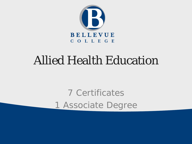

### Allied Health Education

7 Certificates 1 Associate Degree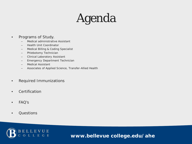# Agenda

#### • Programs of Study.

- Medical administrative Assistant
- Health Unit Coordinator
- Medical Billing & Coding Specialist
- Phlebotomy Technician
- Clinical Laboratory Assistant
- Emergency Department Technician
- Medical Assistant
- Associates of Applied Science, Transfer-Allied Health
- Required Immunizations
- Certification
- FAQ's
- Questions

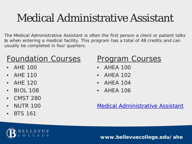## Medical Administrative Assistant

The Medical Administrative Assistant is often the first person a client or patient talks to when entering a medical facility. This program has a total of 48 credits and can usually be completed in four quarters.

### Foundation Courses

- AHE 100
- AHE 110
- AHE 120
- BIOL 108
- CMST 280
- NUTR 100
- BTS 161

### Program Courses

- AHEA 100
- AHEA 102
- AHEA 104
- AHEA 106

[Medical Administrative Assistant](https://www.bellevuecollege.edu/ahe/programs/maa/)

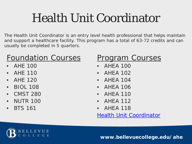# Health Unit Coordinator

The Health Unit Coordinator is an entry level health professional that helps maintain and support a healthcare facility. This program has a total of 63-72 credits and can usually be completed in 5 quarters.

### Foundation Courses

- AHE 100
- AHE 110
- AHE 120
- BIOL 108
- CMST 280
- NUTR 100
- BTS 161

#### Program Courses

- AHEA 100
- AHEA 102
- AHEA 104
- AHEA 106
- AHEA 110
- AHEA 112
- AHEA 118

[Health Unit Coordinator](https://www.bellevuecollege.edu/ahe/programs/huc/)

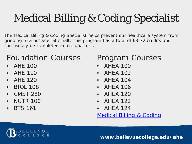# Medical Billing & Coding Specialist

The Medical Billing & Coding Specialist helps prevent our healthcare system from grinding to a bureaucratic halt. This program has a total of 63-72 credits and can usually be completed in five quarters.

### Foundation Courses

- AHE 100
- AHE 110
- AHE 120
- BIOL 108
- CMST 280
- NUTR 100
- BTS 161

#### Program Courses

- AHEA 100
- AHEA 102
- AHEA 104
- AHEA 106
- AHEA 120
- AHEA 122
- AHEA 124

#### [Medical Billing & Coding](https://www.bellevuecollege.edu/ahe/programs/mbc/)

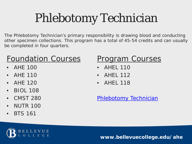# Phlebotomy Technician

The Phlebotomy Technician's primary responsibility is drawing blood and conducting other specimen collections. This program has a total of 45-54 credits and can usually be completed in four quarters.

#### Foundation Courses

- AHE 100
- AHE 110
- AHE 120
- BIOL 108
- CMST 280
- NUTR 100
- BTS 161

### **Program Courses**

- AHEL 110
- AHEL 112
- AHEL 118

[Phlebotomy Technician](https://www.bellevuecollege.edu/ahe/programs/phlebotomy/)

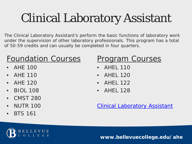# Clinical Laboratory Assistant

The Clinical Laboratory Assistant's perform the basic functions of laboratory work under the supervision of other laboratory professionals. This program has a total of 50-59 credits and can usually be completed in four quarters.

### Foundation Courses

- AHE 100
- AHE 110
- AHE 120
- BIOL 108
- CMST 280
- NUTR 100
- BTS 161

### Program Courses

- AHEL 110
- AHEL 120
- AHEL 122
- AHEL 128

[Clinical Laboratory Assistant](https://www.bellevuecollege.edu/ahe/programs/cla/)

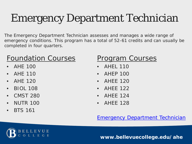# Emergency Department Technician

The Emergency Department Technician assesses and manages a wide range of emergency conditions. This program has a total of 52-61 credits and can usually be completed in four quarters.

#### Foundation Courses

- AHE 100
- AHE 110
- AHE 120
- BIOL 108
- CMST 280
- NUTR 100
- BTS 161

#### Program Courses

- AHEL 110
- AHEP 100
- AHEE 120
- AHEE 122
- AHEE 124
- AHEE 128

#### **[Emergency Department Technician](https://www.bellevuecollege.edu/ahe/programs/edt/)**

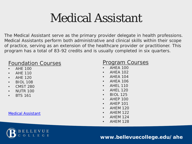## Medical Assistant

The Medical Assistant serve as the primary provider delegate in health professions. Medical Assistants perform both administrative and clinical skills within their scope of practice, serving as an extension of the healthcare provider or practitioner. This program has a total of 83-92 credits and is usually completed in six quarters.

#### Foundation Courses

- AHE 100
- AHE 110
- AHE 120
- BIOL 108
- CMST 280
- NUTR 100
- BTS 161

[Medical Assistant](https://www.bellevuecollege.edu/ahe/programs/mac/)

#### **Program Courses**

- AHEA 100
- AHEA 102
- AHEA 104
- AHEA 106
- **AHFL 110**
- **AHFL 120**
- BIOL 125
- **AHEP 100**
- AHEP 101
- AHEM 120
- AHEM 122
- AHEM 124
- AHEM 128

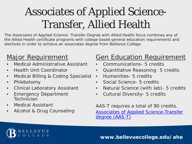## Associates of Applied Science-Transfer, Allied Health

The Associates of Applied Science- Transfer Degree with Allied Health focus combines any of the Allied Health certificate programs with college based general education requirements and electives in order to achieve an associates degree from Bellevue College.

#### **Major Requirement**

- Medical Administrative Assistant
- Health Unit Coordinator
- Medical Billing & Coding Specialist
- Phlebotomy
- Clinical Laboratory Assistant
- **Emergency Department Technician**
- Medical Assistant
- Alcohol & Drug Counseling

#### **Gen Education Requirement**

- Communications- 5 credits
- Quantitative Reasoning- 5 credits
- Humanities- 5 credits
- Social Science- 5 credits
- Natural Science (with lab)- 5 credits
- Cultural Diversity- 5 credits

AAS-T requires a total of 90 credits. [Associates of Applied Science-Transfer](http://www.bellevuecollege.edu/programs/degrees/proftech/ahe/#aas-t_allied_health)  degree (AAS-T)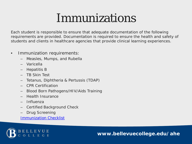## Immunizations

Each student is responsible to ensure that adequate documentation of the following requirements are provided. Documentation is required to ensure the health and safety of students and clients in healthcare agencies that provide clinical learning experiences.

- Immunization requirements:
	- Measles, Mumps, and Rubella
	- Varicella
	- Hepatitis B
	- TB Skin Test
	- Tetanus, Diphtheria & Pertussis (TDAP)
	- CPR Certification
	- Blood Born Pathogens/HIV/Aids Training
	- Health Insurance
	- Influenza
	- Certified Background Check
	- Drug Screening

[Immunization Checklist](https://www.bellevuecollege.edu/ahe/current-students/externship/checklist/)

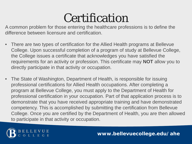## **Certification**

A common problem for those entering the healthcare professions is to define the difference between licensure and certification.

- There are two types of certification for the Allied Health programs at Bellevue College. Upon successful completion of a program of study at Bellevue College, the College issues a certificate that acknowledges you have satisfied the requirements for an activity or profession. This certificate may **NOT** allow you to directly participate in that activity or occupation.
- The State of Washington, Department of Health, is responsible for issuing professional certifications for Allied Health occupations. After completing a program at Bellevue College, you must apply to the Department of Health for professional certification in your occupation. Part of that application process is to demonstrate that you have received appropriate training and have demonstrated competency. This is accomplished by submitting the certification from Bellevue College. Once you are certified by the Department of Health, you are then allowed to participate in that activity or occupation.